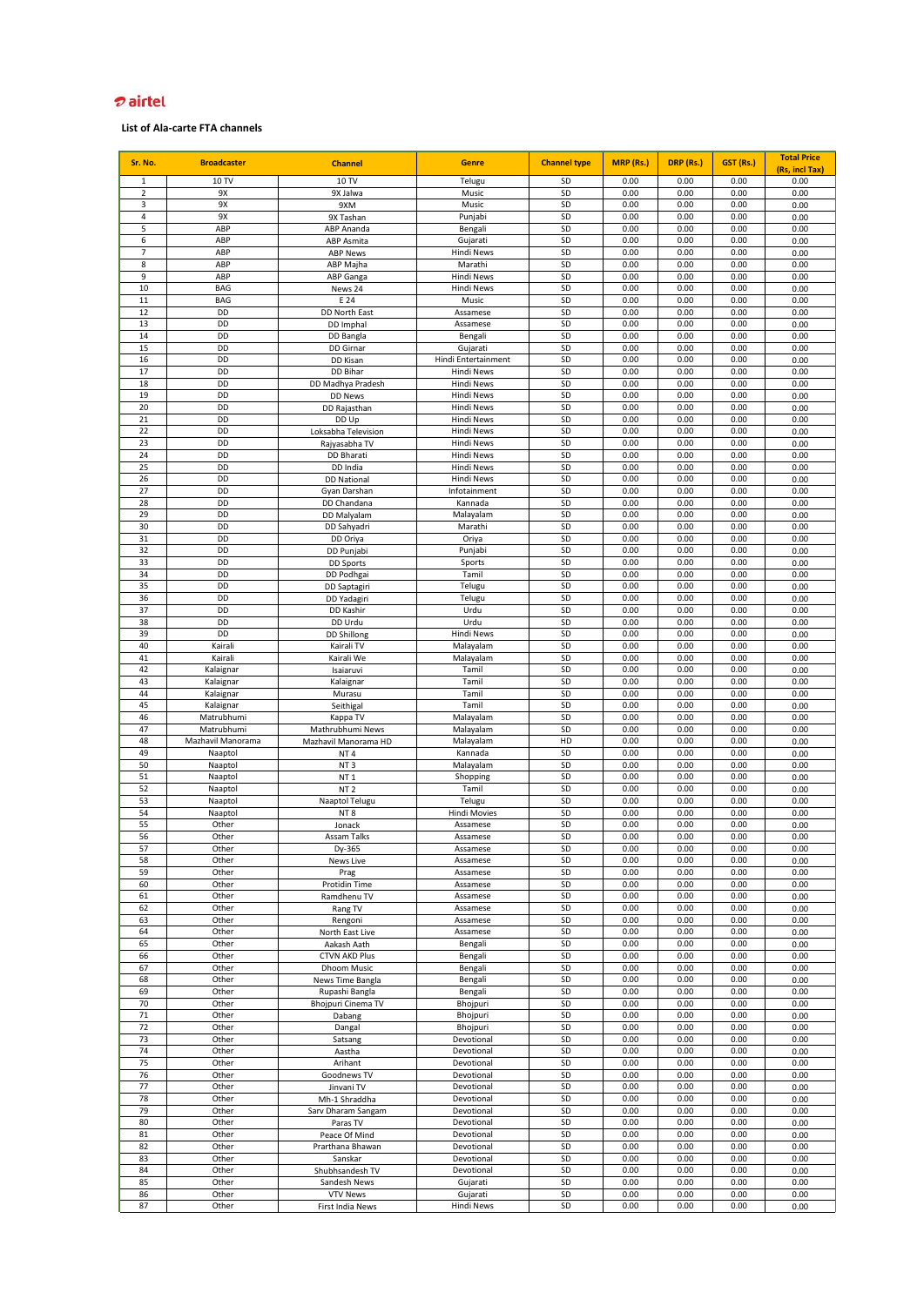| Sr. No.             | <b>Broadcaster</b>     | <b>Channel</b>                      | <b>Genre</b>                      | <b>Channel type</b> | MRP (Rs.)    | DRP (Rs.)    | GST (Rs.)    | <b>Total Price</b>     |
|---------------------|------------------------|-------------------------------------|-----------------------------------|---------------------|--------------|--------------|--------------|------------------------|
| $\mathbf{1}$        | 10 TV                  | 10 TV                               | Telugu                            | SD                  | 0.00         | 0.00         | 0.00         | (Rs, incl Tax)<br>0.00 |
| $\overline{2}$      | 9Х                     | 9X Jalwa                            | Music                             | SD                  | 0.00         | 0.00         | 0.00         | 0.00                   |
| 3                   | 9X                     | 9XM                                 | Music                             | SD                  | 0.00         | 0.00         | 0.00         | 0.00                   |
| $\overline{4}$      | 9X                     | 9X Tashan                           | Punjabi                           | SD                  | 0.00         | 0.00         | 0.00         | 0.00                   |
| 5                   | ABP                    | ABP Ananda                          | Bengali                           | SD                  | 0.00         | 0.00         | 0.00         | 0.00                   |
| 6                   | ABP                    | ABP Asmita                          | Gujarati                          | SD                  | 0.00         | 0.00         | 0.00         | 0.00                   |
| $\overline{7}$<br>8 | ABP<br>ABP             | <b>ABP News</b><br>ABP Majha        | <b>Hindi News</b><br>Marathi      | SD<br>SD            | 0.00<br>0.00 | 0.00<br>0.00 | 0.00<br>0.00 | 0.00<br>0.00           |
| 9                   | ABP                    | ABP Ganga                           | <b>Hindi News</b>                 | SD                  | 0.00         | 0.00         | 0.00         | 0.00                   |
| 10                  | <b>BAG</b>             | News 24                             | Hindi News                        | SD                  | 0.00         | 0.00         | 0.00         | 0.00                   |
| 11                  | <b>BAG</b>             | E 24                                | Music                             | SD                  | 0.00         | 0.00         | 0.00         | 0.00                   |
| 12                  | DD                     | DD North East                       | Assamese                          | SD                  | 0.00         | 0.00         | 0.00         | 0.00                   |
| 13                  | DD                     | DD Imphal                           | Assamese                          | SD                  | 0.00         | 0.00         | 0.00         | 0.00                   |
| 14                  | DD                     | DD Bangla                           | Bengali                           | SD                  | 0.00         | 0.00         | 0.00         | 0.00                   |
| 15                  | DD                     | DD Girnar                           | Gujarati                          | SD                  | 0.00         | 0.00         | 0.00         | 0.00                   |
| 16<br>17            | DD<br>DD               | DD Kisan<br>DD Bihar                | Hindi Entertainment<br>Hindi News | SD<br>SD            | 0.00<br>0.00 | 0.00<br>0.00 | 0.00<br>0.00 | 0.00<br>0.00           |
| 18                  | DD                     | DD Madhya Pradesh                   | <b>Hindi News</b>                 | SD                  | 0.00         | 0.00         | 0.00         | 0.00                   |
| 19                  | DD                     | <b>DD News</b>                      | Hindi News                        | SD                  | 0.00         | 0.00         | 0.00         | 0.00                   |
| 20                  | DD                     | DD Rajasthan                        | <b>Hindi News</b>                 | SD                  | 0.00         | 0.00         | 0.00         | 0.00                   |
| 21                  | DD                     | DD Up                               | <b>Hindi News</b>                 | SD                  | 0.00         | 0.00         | 0.00         | 0.00                   |
| 22                  | DD                     | Loksabha Television                 | <b>Hindi News</b>                 | SD                  | 0.00         | 0.00         | 0.00         | 0.00                   |
| 23                  | DD                     | Rajyasabha TV                       | <b>Hindi News</b>                 | SD                  | 0.00         | 0.00         | 0.00         | 0.00                   |
| 24<br>25            | DD<br>DD               | DD Bharati<br>DD India              | Hindi News<br>Hindi News          | SD<br>SD            | 0.00<br>0.00 | 0.00<br>0.00 | 0.00<br>0.00 | 0.00<br>0.00           |
| 26                  | DD                     | <b>DD National</b>                  | <b>Hindi News</b>                 | SD                  | 0.00         | 0.00         | 0.00         | 0.00                   |
| 27                  | DD                     | Gyan Darshan                        | Infotainment                      | SD                  | 0.00         | 0.00         | 0.00         | 0.00                   |
| 28                  | DD                     | DD Chandana                         | Kannada                           | SD                  | 0.00         | 0.00         | 0.00         | 0.00                   |
| 29                  | DD                     | DD Malyalam                         | Malayalam                         | SD                  | 0.00         | 0.00         | 0.00         | 0.00                   |
| 30                  | DD                     | DD Sahyadri                         | Marathi                           | SD                  | 0.00         | 0.00         | 0.00         | 0.00                   |
| 31                  | DD                     | DD Oriya                            | Oriya                             | SD                  | 0.00         | 0.00         | 0.00         | 0.00                   |
| 32<br>33            | DD<br>DD               | DD Punjabi                          | Punjabi<br>Sports                 | SD<br>SD            | 0.00<br>0.00 | 0.00<br>0.00 | 0.00<br>0.00 | 0.00                   |
| 34                  | DD                     | <b>DD Sports</b><br>DD Podhgai      | Tamil                             | SD                  | 0.00         | 0.00         | 0.00         | 0.00<br>0.00           |
| 35                  | DD                     | DD Saptagiri                        | Telugu                            | SD                  | 0.00         | 0.00         | 0.00         | 0.00                   |
| 36                  | DD                     | DD Yadagiri                         | Telugu                            | SD                  | 0.00         | 0.00         | 0.00         | 0.00                   |
| 37                  | DD                     | DD Kashir                           | Urdu                              | SD                  | 0.00         | 0.00         | 0.00         | 0.00                   |
| 38                  | DD                     | DD Urdu                             | Urdu                              | SD                  | 0.00         | 0.00         | 0.00         | 0.00                   |
| 39                  | DD                     | <b>DD Shillong</b>                  | <b>Hindi News</b>                 | SD                  | 0.00         | 0.00         | 0.00         | 0.00                   |
| 40                  | Kairali                | Kairali TV                          | Malayalam                         | SD                  | 0.00         | 0.00         | 0.00         | 0.00                   |
| 41<br>42            | Kairali                | Kairali We<br>Isaiaruvi             | Malayalam<br>Tamil                | SD<br>SD            | 0.00<br>0.00 | 0.00<br>0.00 | 0.00<br>0.00 | 0.00<br>0.00           |
| 43                  | Kalaignar<br>Kalaignar | Kalaignar                           | Tamil                             | SD                  | 0.00         | 0.00         | 0.00         | 0.00                   |
| 44                  | Kalaignar              | Murasu                              | Tamil                             | SD                  | 0.00         | 0.00         | 0.00         | 0.00                   |
| 45                  | Kalaignar              | Seithigal                           | Tamil                             | SD                  | 0.00         | 0.00         | 0.00         | 0.00                   |
| 46                  | Matrubhumi             | Kappa TV                            | Malayalam                         | SD                  | 0.00         | 0.00         | 0.00         | 0.00                   |
| 47                  | Matrubhumi             | Mathrubhumi News                    | Malayalam                         | SD                  | 0.00         | 0.00         | 0.00         | 0.00                   |
| 48                  | Mazhavil Manorama      | Mazhavil Manorama HD                | Malayalam                         | HD                  | 0.00         | 0.00         | 0.00         | 0.00                   |
| 49<br>50            | Naaptol<br>Naaptol     | NT <sub>4</sub><br>NT <sub>3</sub>  | Kannada<br>Malayalam              | SD<br>SD            | 0.00<br>0.00 | 0.00<br>0.00 | 0.00<br>0.00 | 0.00                   |
| 51                  | Naaptol                | NT <sub>1</sub>                     | Shopping                          | SD                  | 0.00         | 0.00         | 0.00         | 0.00<br>0.00           |
| 52                  | Naaptol                | NT <sub>2</sub>                     | Tamil                             | SD                  | 0.00         | 0.00         | 0.00         | 0.00                   |
| 53                  | Naaptol                | Naaptol Telugu                      | Telugu                            | SD                  | 0.00         | 0.00         | 0.00         | 0.00                   |
| 54                  | Naaptol                | NT <sub>8</sub>                     | <b>Hindi Movies</b>               | SD                  | 0.00         | 0.00         | 0.00         | 0.00                   |
| 55                  | Other                  | Jonack                              | Assamese                          | SD                  | 0.00         | 0.00         | 0.00         | 0.00                   |
| 56                  | Other                  | Assam Talks                         | Assamese                          | SD                  | 0.00         | 0.00         | 0.00         | 0.00                   |
| 58                  | Other<br>Other         | Dy-365                              | Assamese                          | SD<br>SD            | 0.00<br>0.00 | 0.00<br>0.00 | 0.00<br>0.00 | 0.00                   |
| 59                  | Other                  | News Live<br>Prag                   | Assamese<br>Assamese              | SD                  | 0.00         | 0.00         | 0.00         | 0.00<br>0.00           |
| 60                  | Other                  | Protidin Time                       | Assamese                          | SD                  | 0.00         | 0.00         | 0.00         | 0.00                   |
| 61                  | Other                  | Ramdhenu TV                         | Assamese                          | SD                  | 0.00         | 0.00         | 0.00         | 0.00                   |
| 62                  | Other                  | Rang TV                             | Assamese                          | SD                  | 0.00         | 0.00         | 0.00         | 0.00                   |
| 63                  | Other                  | Rengoni                             | Assamese                          | SD                  | 0.00         | 0.00         | 0.00         | 0.00                   |
| 64                  | Other                  | North East Live                     | Assamese                          | SD                  | 0.00         | 0.00         | 0.00         | 0.00                   |
| 65<br>66            | Other                  | Aakash Aath                         | Bengali                           | SD<br>SD            | 0.00<br>0.00 | 0.00<br>0.00 | 0.00<br>0.00 | 0.00                   |
| 67                  | Other<br>Other         | <b>CTVN AKD Plus</b><br>Dhoom Music | Bengali<br>Bengali                | SD                  | 0.00         | 0.00         | 0.00         | 0.00<br>0.00           |
| 68                  | Other                  | News Time Bangla                    | Bengali                           | SD                  | 0.00         | 0.00         | 0.00         | 0.00                   |
| 69                  | Other                  | Rupashi Bangla                      | Bengali                           | SD                  | 0.00         | 0.00         | 0.00         | 0.00                   |
| 70                  | Other                  | Bhojpuri Cinema TV                  | Bhojpuri                          | SD                  | 0.00         | 0.00         | 0.00         | 0.00                   |
| 71                  | Other                  | Dabang                              | Bhojpuri                          | SD                  | 0.00         | 0.00         | 0.00         | 0.00                   |
| 72                  | Other                  | Dangal                              | Bhojpuri                          | SD                  | 0.00         | 0.00         | 0.00         | 0.00                   |
| 73                  | Other                  | Satsang                             | Devotional                        | SD                  | 0.00         | 0.00         | 0.00         | 0.00                   |
| 74<br>75            | Other<br>Other         | Aastha<br>Arihant                   | Devotional<br>Devotional          | SD<br>SD            | 0.00<br>0.00 | 0.00<br>0.00 | 0.00<br>0.00 | 0.00<br>0.00           |
| 76                  | Other                  | Goodnews TV                         | Devotional                        | SD                  | 0.00         | 0.00         | 0.00         | 0.00                   |
| 77                  | Other                  | Jinvani TV                          | Devotional                        | SD                  | 0.00         | 0.00         | 0.00         | 0.00                   |
| 78                  | Other                  | Mh-1 Shraddha                       | Devotional                        | SD                  | 0.00         | 0.00         | 0.00         | 0.00                   |
| 79                  | Other                  | Sarv Dharam Sangam                  | Devotional                        | SD                  | 0.00         | 0.00         | 0.00         | 0.00                   |
| 80                  | Other                  | Paras TV                            | Devotional                        | SD                  | 0.00         | 0.00         | 0.00         | 0.00                   |
| 81                  | Other                  | Peace Of Mind                       | Devotional                        | SD                  | 0.00         | 0.00         | 0.00         | 0.00                   |
| 82                  | Other                  | Prarthana Bhawan                    | Devotional                        | SD                  | 0.00         | 0.00         | 0.00         | 0.00                   |
| 83<br>84            | Other                  | Sanskar                             | Devotional                        | SD<br>SD            | 0.00<br>0.00 | 0.00<br>0.00 | 0.00         | 0.00                   |
| 85                  | Other<br>Other         | Shubhsandesh TV<br>Sandesh News     | Devotional<br>Gujarati            | SD                  | 0.00         | 0.00         | 0.00<br>0.00 | 0.00<br>0.00           |
| 86                  | Other                  | <b>VTV News</b>                     | Gujarati                          | SD                  | 0.00         | 0.00         | 0.00         | 0.00                   |
| 87                  | Other                  | First India News                    | <b>Hindi News</b>                 | SD                  | 0.00         | 0.00         | 0.00         | 0.00                   |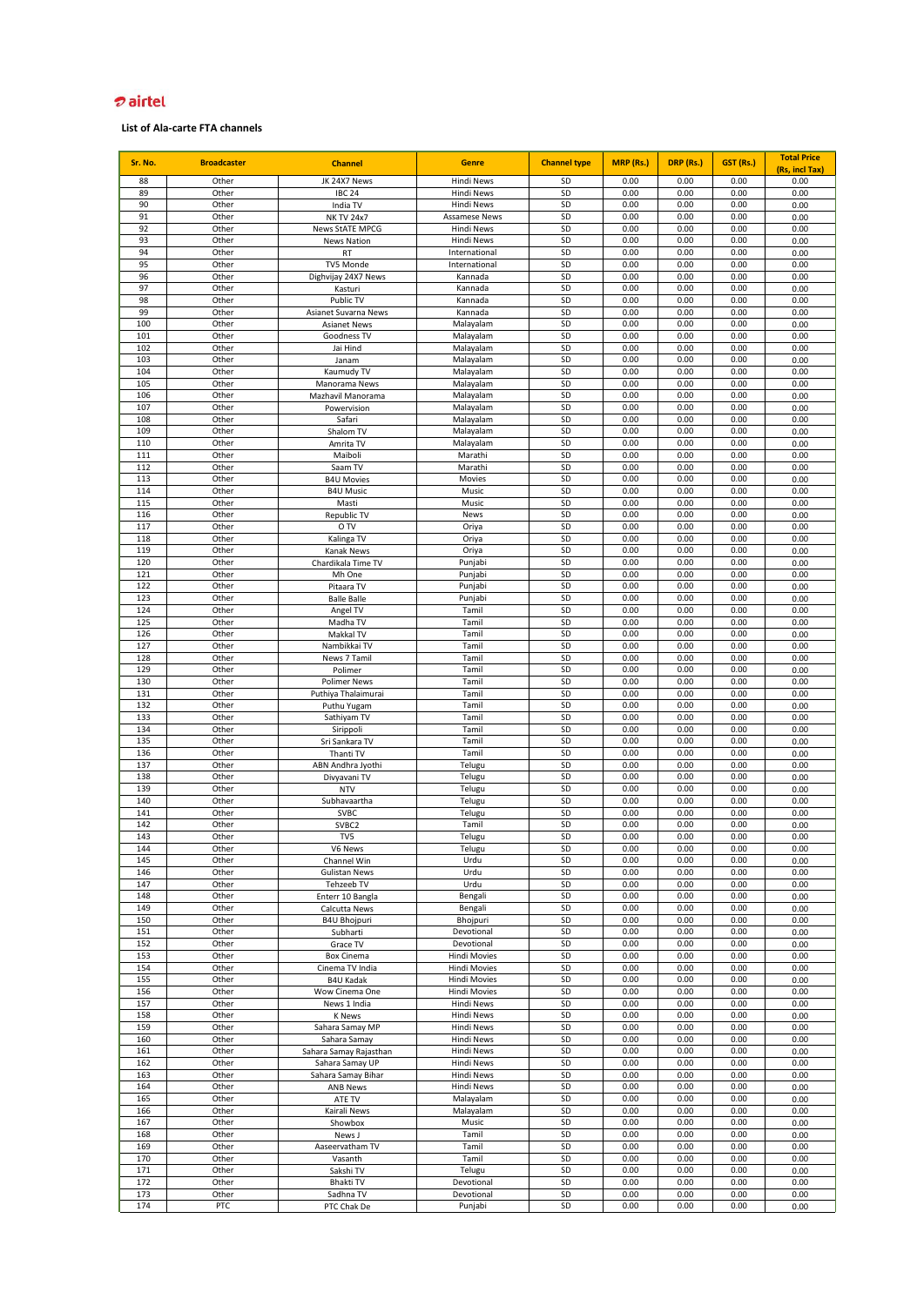| Sr. No.    | <b>Broadcaster</b> | <b>Channel</b>                            | <b>Genre</b>                       | <b>Channel type</b> | MRP (Rs.)    | DRP (Rs.)    | GST (Rs.)    | <b>Total Price</b>     |
|------------|--------------------|-------------------------------------------|------------------------------------|---------------------|--------------|--------------|--------------|------------------------|
| 88         | Other              | JK 24X7 News                              | <b>Hindi News</b>                  | SD                  | 0.00         | 0.00         | 0.00         | (Rs, incl Tax)<br>0.00 |
| 89         | Other              | <b>IBC 24</b>                             | Hindi News                         | SD                  | 0.00         | 0.00         | 0.00         | 0.00                   |
| 90         | Other              | India TV                                  | <b>Hindi News</b>                  | SD                  | 0.00         | 0.00         | 0.00         | 0.00                   |
| 91         | Other              | <b>NK TV 24x7</b>                         | <b>Assamese News</b>               | SD                  | 0.00         | 0.00         | 0.00         | 0.00                   |
| 92         | Other              | <b>News StATE MPCG</b>                    | <b>Hindi News</b>                  | SD                  | 0.00         | 0.00         | 0.00         | 0.00                   |
| 93<br>94   | Other<br>Other     | <b>News Nation</b><br>RT                  | <b>Hindi News</b><br>International | SD<br>SD            | 0.00<br>0.00 | 0.00<br>0.00 | 0.00<br>0.00 | 0.00<br>0.00           |
| 95         | Other              | TV5 Monde                                 | International                      | SD                  | 0.00         | 0.00         | 0.00         | 0.00                   |
| 96         | Other              | Dighvijay 24X7 News                       | Kannada                            | SD                  | 0.00         | 0.00         | 0.00         | 0.00                   |
| 97         | Other              | Kasturi                                   | Kannada                            | SD                  | 0.00         | 0.00         | 0.00         | 0.00                   |
| 98         | Other              | Public TV                                 | Kannada                            | SD                  | 0.00         | 0.00         | 0.00         | 0.00                   |
| 99         | Other              | Asianet Suvarna News                      | Kannada                            | SD                  | 0.00         | 0.00         | 0.00         | 0.00                   |
| 100        | Other              | <b>Asianet News</b>                       | Malayalam                          | SD                  | 0.00         | 0.00         | 0.00         | 0.00                   |
| 101<br>102 | Other<br>Other     | Goodness TV                               | Malayalam                          | SD<br>SD            | 0.00<br>0.00 | 0.00<br>0.00 | 0.00<br>0.00 | 0.00                   |
| 103        | Other              | Jai Hind<br>Janam                         | Malayalam<br>Malayalam             | SD                  | 0.00         | 0.00         | 0.00         | 0.00<br>0.00           |
| 104        | Other              | Kaumudy TV                                | Malayalam                          | SD                  | 0.00         | 0.00         | 0.00         | 0.00                   |
| 105        | Other              | Manorama News                             | Malayalam                          | SD                  | 0.00         | 0.00         | 0.00         | 0.00                   |
| 106        | Other              | Mazhavil Manorama                         | Malayalam                          | SD                  | 0.00         | 0.00         | 0.00         | 0.00                   |
| 107        | Other              | Powervision                               | Malayalam                          | SD                  | 0.00         | 0.00         | 0.00         | 0.00                   |
| 108        | Other              | Safari                                    | Malayalam                          | SD                  | 0.00         | 0.00         | 0.00         | 0.00                   |
| 109        | Other              | Shalom TV                                 | Malayalam                          | SD                  | 0.00         | 0.00         | 0.00         | 0.00                   |
| 110<br>111 | Other              | Amrita TV                                 | Malayalam                          | SD<br>SD            | 0.00         | 0.00<br>0.00 | 0.00         | 0.00                   |
| 112        | Other<br>Other     | Maiboli<br>Saam TV                        | Marathi<br>Marathi                 | SD                  | 0.00<br>0.00 | 0.00         | 0.00<br>0.00 | 0.00<br>0.00           |
| 113        | Other              | <b>B4U Movies</b>                         | Movies                             | SD                  | 0.00         | 0.00         | 0.00         | 0.00                   |
| 114        | Other              | <b>B4U Music</b>                          | Music                              | SD                  | 0.00         | 0.00         | 0.00         | 0.00                   |
| 115        | Other              | Masti                                     | Music                              | SD                  | 0.00         | 0.00         | 0.00         | 0.00                   |
| 116        | Other              | Republic TV                               | News                               | SD                  | 0.00         | 0.00         | 0.00         | 0.00                   |
| 117        | Other              | 0 TV                                      | Oriya                              | SD                  | 0.00         | 0.00         | 0.00         | 0.00                   |
| 118        | Other              | Kalinga TV                                | Oriya                              | SD                  | 0.00         | 0.00         | 0.00         | 0.00                   |
| 119<br>120 | Other<br>Other     | Kanak News<br>Chardikala Time TV          | Oriya<br>Punjabi                   | SD<br>SD            | 0.00<br>0.00 | 0.00<br>0.00 | 0.00<br>0.00 | 0.00<br>0.00           |
| 121        | Other              | Mh One                                    | Punjabi                            | SD                  | 0.00         | 0.00         | 0.00         | 0.00                   |
| 122        | Other              | Pitaara TV                                | Punjabi                            | SD                  | 0.00         | 0.00         | 0.00         | 0.00                   |
| 123        | Other              | <b>Balle Balle</b>                        | Punjabi                            | SD                  | 0.00         | 0.00         | 0.00         | 0.00                   |
| 124        | Other              | Angel TV                                  | Tamil                              | SD                  | 0.00         | 0.00         | 0.00         | 0.00                   |
| 125        | Other              | Madha TV                                  | Tamil                              | SD                  | 0.00         | 0.00         | 0.00         | 0.00                   |
| 126        | Other              | Makkal TV                                 | Tamil                              | SD                  | 0.00         | 0.00         | 0.00         | 0.00                   |
| 127        | Other              | Nambikkai TV                              | Tamil                              | SD<br>SD            | 0.00         | 0.00         | 0.00         | 0.00                   |
| 128<br>129 | Other<br>Other     | News 7 Tamil<br>Polimer                   | Tamil<br>Tamil                     | SD                  | 0.00<br>0.00 | 0.00<br>0.00 | 0.00<br>0.00 | 0.00<br>0.00           |
| 130        | Other              | <b>Polimer News</b>                       | Tamil                              | SD                  | 0.00         | 0.00         | 0.00         | 0.00                   |
| 131        | Other              | Puthiya Thalaimurai                       | Tamil                              | SD                  | 0.00         | 0.00         | 0.00         | 0.00                   |
| 132        | Other              | Puthu Yugam                               | Tamil                              | SD                  | 0.00         | 0.00         | 0.00         | 0.00                   |
| 133        | Other              | Sathiyam TV                               | Tamil                              | SD                  | 0.00         | 0.00         | 0.00         | 0.00                   |
| 134        | Other              | Sirippoli                                 | Tamil                              | SD                  | 0.00         | 0.00         | 0.00         | 0.00                   |
| 135        | Other              | Sri Sankara TV                            | Tamil                              | SD                  | 0.00         | 0.00         | 0.00         | 0.00                   |
| 136<br>137 | Other<br>Other     | Thanti TV<br>ABN Andhra Jyothi            | Tamil<br>Telugu                    | SD<br>SD            | 0.00<br>0.00 | 0.00<br>0.00 | 0.00<br>0.00 | 0.00<br>0.00           |
| 138        | Other              | Divyavani TV                              | Telugu                             | SD                  | 0.00         | 0.00         | 0.00         | 0.00                   |
| 139        | Other              | <b>NTV</b>                                | Telugu                             | SD                  | 0.00         | 0.00         | 0.00         | 0.00                   |
| 140        | Other              | Subhavaartha                              | Telugu                             | SD                  | 0.00         | 0.00         | 0.00         | 0.00                   |
| 141        | Other              | SVBC                                      | Telugu                             | SD                  | 0.00         | 0.00         | 0.00         | 0.00                   |
| 142        | Other              | SVBC2                                     | Tamil                              | SD                  | 0.00         | 0.00         | 0.00         | 0.00                   |
| 143        | Other              | TV5                                       | Telugu                             | SD                  | 0.00         | 0.00         | 0.00         | 0.00                   |
| 144<br>145 | Other<br>Other     | Vb News<br>Channel Win                    | Telugu<br>Urdu                     | SD<br>SD            | 0.00<br>0.00 | 0.00<br>0.00 | 0.00<br>0.00 | <b>U.UU</b><br>0.00    |
| 146        | Other              | <b>Gulistan News</b>                      | Urdu                               | SD                  | 0.00         | 0.00         | 0.00         | 0.00                   |
| 147        | Other              | Tehzeeb TV                                | Urdu                               | SD                  | 0.00         | 0.00         | 0.00         | 0.00                   |
| 148        | Other              | Enterr 10 Bangla                          | Bengali                            | SD                  | 0.00         | 0.00         | 0.00         | 0.00                   |
| 149        | Other              | Calcutta News                             | Bengali                            | SD                  | 0.00         | 0.00         | 0.00         | 0.00                   |
| 150        | Other              | <b>B4U Bhojpuri</b>                       | Bhojpuri                           | SD                  | 0.00         | 0.00         | 0.00         | 0.00                   |
| 151        | Other              | Subharti                                  | Devotional                         | SD                  | 0.00         | 0.00         | 0.00         | 0.00                   |
| 152<br>153 | Other<br>Other     | Grace TV<br><b>Box Cinema</b>             | Devotional<br>Hindi Movies         | SD<br>SD            | 0.00<br>0.00 | 0.00<br>0.00 | 0.00<br>0.00 | 0.00<br>0.00           |
| 154        | Other              | Cinema TV India                           | <b>Hindi Movies</b>                | SD                  | 0.00         | 0.00         | 0.00         | 0.00                   |
| 155        | Other              | <b>B4U Kadak</b>                          | <b>Hindi Movies</b>                | SD                  | 0.00         | 0.00         | 0.00         | 0.00                   |
| 156        | Other              | Wow Cinema One                            | <b>Hindi Movies</b>                | SD                  | 0.00         | 0.00         | 0.00         | 0.00                   |
| 157        | Other              | News 1 India                              | Hindi News                         | SD                  | 0.00         | 0.00         | 0.00         | 0.00                   |
| 158        | Other              | <b>K</b> News                             | <b>Hindi News</b>                  | SD                  | 0.00         | 0.00         | 0.00         | 0.00                   |
| 159        | Other              | Sahara Samay MP                           | <b>Hindi News</b>                  | SD                  | 0.00         | 0.00         | 0.00         | 0.00                   |
| 160<br>161 | Other              | Sahara Samay                              | Hindi News                         | SD<br>SD            | 0.00<br>0.00 | 0.00<br>0.00 | 0.00<br>0.00 | 0.00                   |
| 162        | Other<br>Other     | Sahara Samay Rajasthan<br>Sahara Samay UP | Hindi News<br>Hindi News           | SD                  | 0.00         | 0.00         | 0.00         | 0.00<br>0.00           |
| 163        | Other              | Sahara Samay Bihar                        | Hindi News                         | SD                  | 0.00         | 0.00         | 0.00         | 0.00                   |
| 164        | Other              | <b>ANB News</b>                           | Hindi News                         | SD                  | 0.00         | 0.00         | 0.00         | 0.00                   |
| 165        | Other              | ATE TV                                    | Malayalam                          | SD                  | 0.00         | 0.00         | 0.00         | 0.00                   |
| 166        | Other              | Kairali News                              | Malayalam                          | SD                  | 0.00         | 0.00         | 0.00         | 0.00                   |
| 167        | Other              | Showbox                                   | Music                              | SD                  | 0.00         | 0.00         | 0.00         | 0.00                   |
| 168        | Other              | News J                                    | Tamil                              | SD                  | 0.00         | 0.00         | 0.00         | 0.00                   |
| 169<br>170 | Other              | Aaseervatham TV                           | Tamil<br>Tamil                     | SD<br>SD            | 0.00<br>0.00 | 0.00<br>0.00 | 0.00<br>0.00 | 0.00<br>0.00           |
| 171        | Other<br>Other     | Vasanth<br>Sakshi TV                      | Telugu                             | SD                  | 0.00         | 0.00         | 0.00         | 0.00                   |
| 172        | Other              | Bhakti TV                                 | Devotional                         | SD                  | 0.00         | 0.00         | 0.00         | 0.00                   |
| 173        | Other              | Sadhna TV                                 | Devotional                         | SD                  | 0.00         | 0.00         | 0.00         | 0.00                   |
| 174        | PTC                | PTC Chak De                               | Punjabi                            | SD                  | 0.00         | 0.00         | 0.00         | 0.00                   |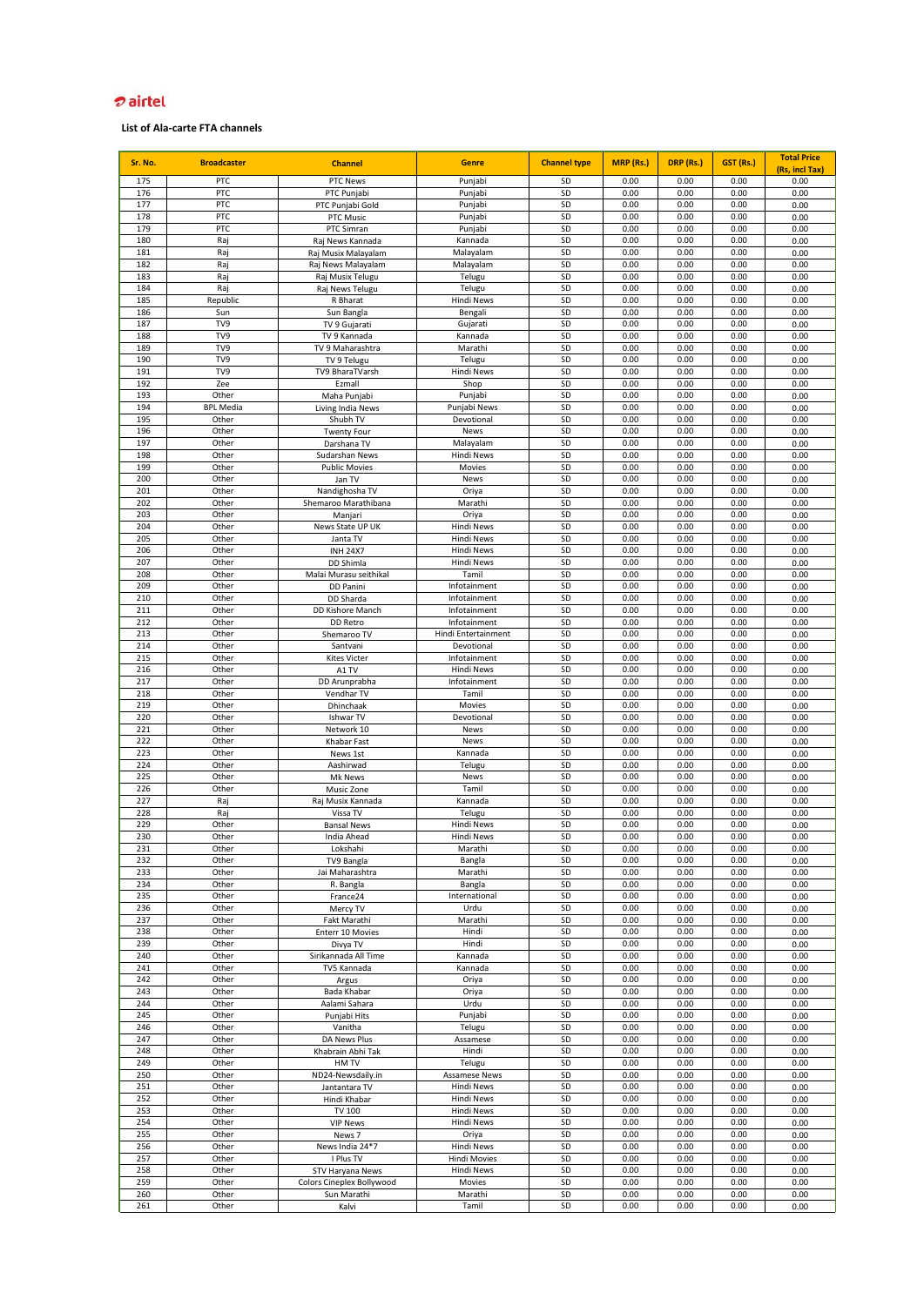| Sr. No.    | <b>Broadcaster</b> | <b>Channel</b>                    | <b>Genre</b>                 | <b>Channel type</b> | MRP (Rs.)    | DRP (Rs.)    | GST (Rs.)    | <b>Total Price</b> |
|------------|--------------------|-----------------------------------|------------------------------|---------------------|--------------|--------------|--------------|--------------------|
|            |                    |                                   |                              |                     |              |              |              | (Rs, incl Tax)     |
| 175        | PTC                | PTC News                          | Punjabi                      | <b>SD</b>           | 0.00         | 0.00         | 0.00         | 0.00               |
| 176        | PTC                | PTC Punjabi                       | Punjabi                      | SD                  | 0.00         | 0.00         | 0.00         | 0.00               |
| 177<br>178 | PTC<br>PTC         | PTC Punjabi Gold<br>PTC Music     | Punjabi<br>Punjabi           | SD<br>SD            | 0.00<br>0.00 | 0.00<br>0.00 | 0.00<br>0.00 | 0.00<br>0.00       |
| 179        | PTC                | PTC Simran                        | Punjabi                      | SD                  | 0.00         | 0.00         | 0.00         | 0.00               |
| 180        | Raj                | Raj News Kannada                  | Kannada                      | SD                  | 0.00         | 0.00         | 0.00         | 0.00               |
| 181        | Raj                | Raj Musix Malayalam               | Malayalam                    | SD                  | 0.00         | 0.00         | 0.00         | 0.00               |
| 182        | Raj                | Raj News Malayalam                | Malayalam                    | SD                  | 0.00         | 0.00         | 0.00         | 0.00               |
| 183        | Raj                | Raj Musix Telugu                  | Telugu                       | SD                  | 0.00         | 0.00         | 0.00         | 0.00               |
| 184        | Raj                | Raj News Telugu                   | Telugu                       | SD                  | 0.00         | 0.00         | 0.00         | 0.00               |
| 185        | Republic           | R Bharat                          | Hindi News                   | SD                  | 0.00         | 0.00         | 0.00         | 0.00               |
| 186        | Sun                | Sun Bangla                        | Bengali                      | SD                  | 0.00         | 0.00         | 0.00         | 0.00               |
| 187        | TV9                | TV 9 Gujarati                     | Gujarati                     | SD                  | 0.00         | 0.00         | 0.00         | 0.00               |
| 188        | TV9                | TV 9 Kannada                      | Kannada                      | SD                  | 0.00         | 0.00         | 0.00         | 0.00               |
| 189        | TV9                | TV 9 Maharashtra                  | Marathi                      | SD                  | 0.00         | 0.00         | 0.00         | 0.00               |
| 190        | TV9                | TV 9 Telugu                       | Telugu                       | SD                  | 0.00         | 0.00         | 0.00         | 0.00               |
| 191        | TV9                | TV9 BharaTVarsh                   | Hindi News                   | SD                  | 0.00<br>0.00 | 0.00         | 0.00         | 0.00               |
| 192<br>193 | Zee<br>Other       | Ezmall                            | Shop<br>Punjabi              | SD<br>SD            | 0.00         | 0.00<br>0.00 | 0.00<br>0.00 | 0.00<br>0.00       |
| 194        | <b>BPL Media</b>   | Maha Punjabi<br>Living India News | Punjabi News                 | SD                  | 0.00         | 0.00         | 0.00         | 0.00               |
| 195        | Other              | Shubh TV                          | Devotional                   | SD                  | 0.00         | 0.00         | 0.00         | 0.00               |
| 196        | Other              | <b>Twenty Four</b>                | News                         | SD                  | 0.00         | 0.00         | 0.00         | 0.00               |
| 197        | Other              | Darshana TV                       | Malayalam                    | SD                  | 0.00         | 0.00         | 0.00         | 0.00               |
| 198        | Other              | Sudarshan News                    | <b>Hindi News</b>            | SD                  | 0.00         | 0.00         | 0.00         | 0.00               |
| 199        | Other              | <b>Public Movies</b>              | Movies                       | SD                  | 0.00         | 0.00         | 0.00         | 0.00               |
| 200        | Other              | Jan TV                            | News                         | SD                  | 0.00         | 0.00         | 0.00         | 0.00               |
| 201        | Other              | Nandighosha TV                    | Oriya                        | SD                  | 0.00         | 0.00         | 0.00         | 0.00               |
| 202        | Other              | Shemaroo Marathibana              | Marathi                      | SD                  | 0.00         | 0.00         | 0.00         | 0.00               |
| 203        | Other              | Manjari                           | Oriya                        | SD                  | 0.00         | 0.00         | 0.00         | 0.00               |
| 204        | Other              | News State UP UK                  | <b>Hindi News</b>            | SD                  | 0.00         | 0.00         | 0.00         | 0.00               |
| 205        | Other              | Janta TV                          | <b>Hindi News</b>            | SD                  | 0.00         | 0.00         | 0.00         | 0.00               |
| 206        | Other              | <b>INH 24X7</b>                   | <b>Hindi News</b>            | SD                  | 0.00         | 0.00         | 0.00         | 0.00               |
| 207        | Other              | DD Shimla                         | Hindi News                   | SD                  | 0.00         | 0.00         | 0.00         | 0.00               |
| 208        | Other              | Malai Murasu seithikal            | Tamil                        | SD                  | 0.00         | 0.00         | 0.00         | 0.00               |
| 209<br>210 | Other<br>Other     | DD Panini                         | Infotainment<br>Infotainment | SD<br>SD            | 0.00<br>0.00 | 0.00<br>0.00 | 0.00<br>0.00 | 0.00<br>0.00       |
| 211        | Other              | DD Sharda<br>DD Kishore Manch     | Infotainment                 | SD                  | 0.00         | 0.00         | 0.00         | 0.00               |
| 212        | Other              | DD Retro                          | Infotainment                 | SD                  | 0.00         | 0.00         | 0.00         | 0.00               |
| 213        | Other              | Shemaroo TV                       | Hindi Entertainment          | SD                  | 0.00         | 0.00         | 0.00         | 0.00               |
| 214        | Other              | Santvani                          | Devotional                   | SD                  | 0.00         | 0.00         | 0.00         | 0.00               |
| 215        | Other              | <b>Kites Victer</b>               | Infotainment                 | SD                  | 0.00         | 0.00         | 0.00         | 0.00               |
| 216        | Other              | A1 TV                             | Hindi News                   | SD                  | 0.00         | 0.00         | 0.00         | 0.00               |
| 217        | Other              | DD Arunprabha                     | Infotainment                 | SD                  | 0.00         | 0.00         | 0.00         | 0.00               |
| 218        | Other              | Vendhar TV                        | Tamil                        | SD                  | 0.00         | 0.00         | 0.00         | 0.00               |
| 219        | Other              | Dhinchaak                         | Movies                       | SD                  | 0.00         | 0.00         | 0.00         | 0.00               |
| 220        | Other              | Ishwar TV                         | Devotional                   | SD                  | 0.00         | 0.00         | 0.00         | 0.00               |
| 221        | Other              | Network 10                        | News                         | SD                  | 0.00         | 0.00         | 0.00         | 0.00               |
| 222        | Other              | Khabar Fast                       | News                         | SD                  | 0.00         | 0.00         | 0.00         | 0.00               |
| 223        | Other              | News 1st                          | Kannada                      | SD                  | 0.00         | 0.00         | 0.00         | 0.00               |
| 224        | Other              | Aashirwad                         | Telugu                       | SD                  | 0.00         | 0.00         | 0.00         | 0.00               |
| 225        | Other              | Mk News                           | News                         | SD                  | 0.00         | 0.00         | 0.00         | 0.00               |
| 226        | Other              | Music Zone                        | Tamil                        | SD                  | 0.00         | 0.00         | 0.00         | 0.00               |
| 227<br>228 | Raj<br>Raj         | Raj Musix Kannada                 | Kannada                      | SD<br>SD            | 0.00<br>0.00 | 0.00<br>0.00 | 0.00<br>0.00 | 0.00               |
| 229        | Other              | Vissa TV                          | Telugu<br><b>Hindi News</b>  | SD                  | 0.00         | 0.00         | 0.00         | 0.00               |
| 230        | Other              | <b>Bansal News</b><br>India Ahead | <b>Hindi News</b>            | SD                  | 0.00         | 0.00         | 0.00         | 0.00<br>0.00       |
| 231        | Other              | Lokshahi                          | Marathi                      | SD                  | 0.00         | 0.00         | 0.00         | 0.00               |
| 232        | Other              | TV9 Bangla                        | Bangla                       | SD                  | 0.00         | 0.00         | 0.00         | 0.00               |
| 233        | Other              | Jai Maharashtra                   | Marathi                      | SD                  | 0.00         | 0.00         | 0.00         | 0.00               |
| 234        | Other              | R. Bangla                         | Bangla                       | SD                  | 0.00         | 0.00         | 0.00         | 0.00               |
| 235        | Other              | France24                          | International                | SD                  | 0.00         | 0.00         | 0.00         | 0.00               |
| 236        | Other              | Mercy TV                          | Urdu                         | SD                  | 0.00         | 0.00         | 0.00         | 0.00               |
| 237        | Other              | Fakt Marathi                      | Marathi                      | SD                  | 0.00         | 0.00         | 0.00         | 0.00               |
| 238        | Other              | Enterr 10 Movies                  | Hindi                        | SD                  | 0.00         | 0.00         | 0.00         | 0.00               |
| 239        | Other              | Divya TV                          | Hindi                        | SD                  | 0.00         | 0.00         | 0.00         | 0.00               |
| 240        | Other              | Sirikannada All Time              | Kannada                      | SD                  | 0.00         | 0.00         | 0.00         | 0.00               |
| 241        | Other              | TV5 Kannada                       | Kannada                      | SD                  | 0.00         | 0.00         | 0.00         | 0.00               |
| 242<br>243 | Other<br>Other     | Argus                             | Oriya                        | SD<br>SD            | 0.00<br>0.00 | 0.00<br>0.00 | 0.00<br>0.00 | 0.00<br>0.00       |
| 244        | Other              | Bada Khabar<br>Aalami Sahara      | Oriya<br>Urdu                | SD                  | 0.00         | 0.00         | 0.00         | 0.00               |
| 245        | Other              | Punjabi Hits                      | Punjabi                      | SD                  | 0.00         | 0.00         | 0.00         | 0.00               |
| 246        | Other              | Vanitha                           | Telugu                       | SD                  | 0.00         | 0.00         | 0.00         | 0.00               |
| 247        | Other              | DA News Plus                      | Assamese                     | SD                  | 0.00         | 0.00         | 0.00         | 0.00               |
| 248        | Other              | Khabrain Abhi Tak                 | Hindi                        | SD                  | 0.00         | 0.00         | 0.00         | 0.00               |
| 249        | Other              | HM TV                             | Telugu                       | SD                  | 0.00         | 0.00         | 0.00         | 0.00               |
| 250        | Other              | ND24-Newsdaily.in                 | Assamese News                | SD                  | 0.00         | 0.00         | 0.00         | 0.00               |
| 251        | Other              | Jantantara TV                     | <b>Hindi News</b>            | SD                  | 0.00         | 0.00         | 0.00         | 0.00               |
| 252        | Other              | Hindi Khabar                      | <b>Hindi News</b>            | SD                  | 0.00         | 0.00         | 0.00         | 0.00               |
| 253        | Other              | TV 100                            | <b>Hindi News</b>            | SD                  | 0.00         | 0.00         | 0.00         | 0.00               |
| 254        | Other              | <b>VIP News</b>                   | <b>Hindi News</b>            | SD                  | 0.00         | 0.00         | 0.00         | 0.00               |
| 255        | Other              | News 7                            | Oriya                        | SD                  | 0.00         | 0.00         | 0.00         | 0.00               |
| 256        | Other              | News India 24*7                   | Hindi News                   | SD                  | 0.00         | 0.00         | 0.00         | 0.00               |
| 257        | Other              | I Plus TV                         | <b>Hindi Movies</b>          | SD                  | 0.00         | 0.00         | 0.00         | 0.00               |
| 258        | Other              | STV Haryana News                  | <b>Hindi News</b>            | SD                  | 0.00         | 0.00         | 0.00         | 0.00               |
| 259<br>260 | Other              | Colors Cineplex Bollywood         | Movies                       | SD<br>SD            | 0.00         | 0.00<br>0.00 | 0.00         | 0.00               |
| 261        | Other<br>Other     | Sun Marathi<br>Kalvi              | Marathi<br>Tamil             | SD                  | 0.00<br>0.00 | 0.00         | 0.00<br>0.00 | 0.00<br>0.00       |
|            |                    |                                   |                              |                     |              |              |              |                    |